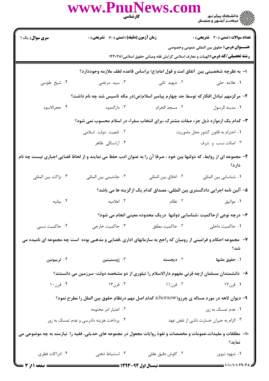|                                                                                                                              | www.PnuNews.com                                                                                               | <b>کارشناسی</b><br>ا | ے<br>حکالات دانشگاہ پیام نور<br>حکالات مرکز آزمون و سنجش                                                                                    |  |  |
|------------------------------------------------------------------------------------------------------------------------------|---------------------------------------------------------------------------------------------------------------|----------------------|---------------------------------------------------------------------------------------------------------------------------------------------|--|--|
| <b>سری سوال :</b> یک ۱                                                                                                       | <b>زمان آزمون (دقیقه) : تستی : 60 ٪ تشریحی : 0</b>                                                            |                      | <b>تعداد سوالات : تستی : 30 ٪ تشریحی : 0</b>                                                                                                |  |  |
|                                                                                                                              |                                                                                                               |                      | <b>عنــــوان درس:</b> حقوق بين المللي عمومي وخصوصي<br><b>رشته تحصیلی/کد درس: ا</b> لهیات و معارف اسلامی گرایش فقه ومبانی حقوق اسلامی۱۲۲۰۲۸۱ |  |  |
|                                                                                                                              | ا– به نظرچه شخصیتی بین  تفاق امت و قول امام(ع) براساس قاعده لطف ملازمه وجوددارد؟                              |                      |                                                                                                                                             |  |  |
| ۰۴ شیخ طوسی                                                                                                                  | ۰۳ سید مرتضی                                                                                                  | ۰۲ شهید ثانی         | ۰۱ علامه حلی                                                                                                                                |  |  |
|                                                                                                                              | ۲– مرکزمهم تبادل افکارکه توسط جد چهارم پیامبر اسلام(ص)در مکه تاسیس شد چه نام داشت؟                            |                      |                                                                                                                                             |  |  |
| ۰۴ حجرالاسود                                                                                                                 | ۰۳ دارالندوه                                                                                                  | ۰۲ مسجد الحرام       | ٠١ مدينه الرسول                                                                                                                             |  |  |
| ۳- کدام یک ازموارد ذیل جزء صفات مشترک ،برای انتخاب سفراء در اسلام محسوب نمی شود؟                                             |                                                                                                               |                      |                                                                                                                                             |  |  |
|                                                                                                                              | ۰۲ تابعیت دولت اسلامی                                                                                         |                      | ٠١ احترام به قانون كشور محل ماموريت                                                                                                         |  |  |
|                                                                                                                              | ۰۴ آراستگی ظاهر                                                                                               |                      | ۰۳ اصالت نسب و شرف                                                                                                                          |  |  |
| ۴- مجموعه ای از روابط، که دولتها بین خود ، صرفا آن را به عنوان ادب حفظ می نمایند و از لحاظ قضایی اجباری نیست چه نام<br>دارد؟ |                                                                                                               |                      |                                                                                                                                             |  |  |
| ۰۴ نزاكت بين المللي                                                                                                          | ۰۳ جانشینی بین المللی                                                                                         | ٠٢ اخلاق بين المللي  | ۰۱ شناسایی بین المللی                                                                                                                       |  |  |
|                                                                                                                              | ۵– آئین نامه اجرایی دادگستری بین المللی، مصداق کدام یک ازگزینه ها می باشد؟                                    |                      |                                                                                                                                             |  |  |
| ۰۴ بيانيه                                                                                                                    | ۰۳ اعلامیه                                                                                                    | ۰۲ نظام              | ۰۱ مواثيق                                                                                                                                   |  |  |
|                                                                                                                              | ۶– درچه نوعی ازحاکمیت ،شناسایی دولتها ً دریک محدوده معینی انجام می شود؟                                       |                      |                                                                                                                                             |  |  |
| ۰۴ حاکمیت نسبی                                                                                                               | ۰۳ حاکمیت خارجی                                                                                               | ٠٢ حاكميت مطلق       | ۰۱ حاکمیت داخلی                                                                                                                             |  |  |
|                                                                                                                              | ۷– مجموعه احکام و فرامینی از رومیان که راجع به سازمانهای اداری ،قضایی و مذهبی بوده است چه مجموعه ای نامیده می |                      | شد؟                                                                                                                                         |  |  |
| ۰۴ تريبونين                                                                                                                  | ۰۳ ژوستینین                                                                                                   | ۰۲ دیجسته            | ۰۱ حقوق ملتها                                                                                                                               |  |  |
| ۸−۔ دانشمندان مسلمان ازچه قرنی مفهوم دارالاسلام را تبلوری از دو مشخصه دولت-سرزمین می دانستند؟                                |                                                                                                               |                      |                                                                                                                                             |  |  |
| ۰۴ قرن۱۰                                                                                                                     | ۰۳ قرن۱۳                                                                                                      | ۰۲ قرن۱۱             | ۱. قرن۱۲                                                                                                                                    |  |  |
| ۹- دیوان لاهه در مورد مساله ی چرزو(chorzow) کدام اصل مهم درنظام حقوق بین الملل را مطرح نمود؟                                 |                                                                                                               |                      |                                                                                                                                             |  |  |
|                                                                                                                              | ۰۲ اعتبار امر مختومه                                                                                          |                      | ۰۱ عدم تمسک به زور                                                                                                                          |  |  |
|                                                                                                                              | ۰۴ پرداخت هزینه دادرسی و عدم تمسک به زور                                                                      |                      | ۰۳ الزام به جبران خسارت ناشی از نقض عهد                                                                                                     |  |  |
|                                                                                                                              | ۱۰– مطلقات و مقیدات،عمومات و مخصصات و نفوذ روایات مجعول در مجموعه های حدیثی، فقیه را  نیازمند به چه موضوعی می |                      | نمايد؟                                                                                                                                      |  |  |
| ۰۴ ادراکات فطری                                                                                                              | ۰۳ استنباط ذهنی                                                                                               | ۰۲ کاوش دقیق عقلی    | ۰۱ شهود نبوی                                                                                                                                |  |  |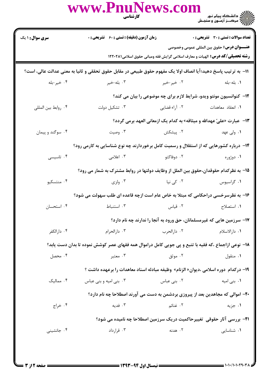|                                                                                                                | WWW.PnuNews.com                                                                                     |                                      |                                                                                                                                            |  |  |  |
|----------------------------------------------------------------------------------------------------------------|-----------------------------------------------------------------------------------------------------|--------------------------------------|--------------------------------------------------------------------------------------------------------------------------------------------|--|--|--|
| <b>سری سوال : ۱ یک</b>                                                                                         | <b>زمان آزمون (دقیقه) : تستی : 60 ٪ تشریحی : 0</b>                                                  |                                      | <b>تعداد سوالات : تستی : 30 - تشریحی : 0</b>                                                                                               |  |  |  |
|                                                                                                                |                                                                                                     |                                      | <b>عنــــوان درس:</b> حقوق بين المللي عمومي وخصوصي<br><b>رشته تحصیلی/کد درس:</b> الهیات و معارف اسلامی گرایش فقه ومبانی حقوق اسلامی1۲۲۰۲۸۱ |  |  |  |
| 11– به ترتیب پاسخ دهید؛آیا انصاف اولا یک مفهوم حقوق طبیعی در مقابل حقوق تحققی و ثانیا به معنی عدالت عالی، است؟ |                                                                                                     |                                      |                                                                                                                                            |  |  |  |
| ۰۴ خير-بله                                                                                                     | ۰۲ خیر خیر مستقیم تا بله خیر است. ۲۰۰                                                               |                                      | ٠١. بله-بله                                                                                                                                |  |  |  |
|                                                                                                                | <b>۱۲</b> - کنوانسیون مونتو ویدو، شرایط لازم برای چه موضوعی را بیان می کند؟                         |                                      |                                                                                                                                            |  |  |  |
| ۰۴ روابط بين المللي                                                                                            | ۰۳ تشکیل دولت                                                                                       | ۰۱ انعقاد معاهدات مسلم ۰۲ آراء قضایی |                                                                                                                                            |  |  |  |
|                                                                                                                |                                                                                                     |                                      | ۱۳–  عبارت «عليّ عهدالله و ميثاقه» به كدام يک ازمعاني العهد برمي گردد؟                                                                     |  |  |  |
| ۰۴ سوگند و پیمان                                                                                               | ۰۳ وصیت                                                                                             | ۲ . پیشکش                            | ۰۱ ولی عهد                                                                                                                                 |  |  |  |
|                                                                                                                | ۱۴– درباره کشورهایی که از استقلال و رسمیت کامل برخوردارند چه نوع شناسایی به کارمی رود؟              |                                      |                                                                                                                                            |  |  |  |
| ۰۴ تاسیسی                                                                                                      | ۰۳ اعلامی                                                                                           | ۰۲ دوفاکتو                           | ۰۱ دوژوره                                                                                                                                  |  |  |  |
|                                                                                                                | 1۵– به نظرکدام حقوقدان،حقوق بین الملل از وظایف دولتها در روابط مشترک به شمار می رود؟                |                                      |                                                                                                                                            |  |  |  |
| ۰۴ منتسکیو                                                                                                     |                                                                                                     |                                      |                                                                                                                                            |  |  |  |
| ۱۶- به نظرسرخسی دراحکامی که مبتلا به خاص عام است ازچه قاعده ای طلب سهولت می شود؟                               |                                                                                                     |                                      |                                                                                                                                            |  |  |  |
| ۰۴ استحسان                                                                                                     | ۰۳ استنباط                                                                                          | ۰۲ قیاس                              | ٠١ استصلاح                                                                                                                                 |  |  |  |
|                                                                                                                |                                                                                                     |                                      | ۱۷- سرزمین هایی که غیرمسلمانان، حق ورود به آنجا را ندارند چه نام دارد؟                                                                     |  |  |  |
| ۰۴ دارالکفر                                                                                                    | ۰۳ دارالحرام                                                                                        | ۰۲ دارالحرب                          | ۰۱ دارالاسلام                                                                                                                              |  |  |  |
|                                                                                                                | ۱۸– نوعی ازاجماع ،که فقیه با تتبع و پی جویی کامل دراموال همه فقهای عصر کوشش نموده تا بدان دست یابد؟ |                                      |                                                                                                                                            |  |  |  |
| ۰۴ محصل                                                                                                        | ۰۳ معتبر                                                                                            | ۰۲ موثق                              | ۰۱ منقول                                                                                                                                   |  |  |  |
|                                                                                                                | 19- دركدام  دوره اسلامي ،ديوان« الزنام»  وظيفه مبادله اسناد معاهدات را برعهده داشت ؟                |                                      |                                                                                                                                            |  |  |  |
| ۰۴ ممالیک                                                                                                      | ۰۳ بنی امیه و بنی عباس                                                                              | ۰۲ بنی عباس                          | ۰۱ بنی امیه                                                                                                                                |  |  |  |
|                                                                                                                | ۲۰- اموالی که مجاهدین بعد از پیروزی بردشمن به دست می آورند اصطلاحا چه نام دارد؟                     |                                      |                                                                                                                                            |  |  |  |
| ۰۴ خراج                                                                                                        | ۰۳ فدیه                                                                                             | ۰۲ غنائم                             | ۰۱ جزیه                                                                                                                                    |  |  |  |
|                                                                                                                |                                                                                                     |                                      | <b>۲۱</b> - بررسی آثار حقوقی  تغییرحاکمیت دریک سرزمین اصطلاحا چه نامیده می شود؟                                                            |  |  |  |
| ۰۴ جانشینی                                                                                                     | ۰۳ قرارداد                                                                                          | ۰۲ هدنه                              | ٠١ شناسايى                                                                                                                                 |  |  |  |
|                                                                                                                |                                                                                                     |                                      |                                                                                                                                            |  |  |  |
|                                                                                                                |                                                                                                     |                                      |                                                                                                                                            |  |  |  |